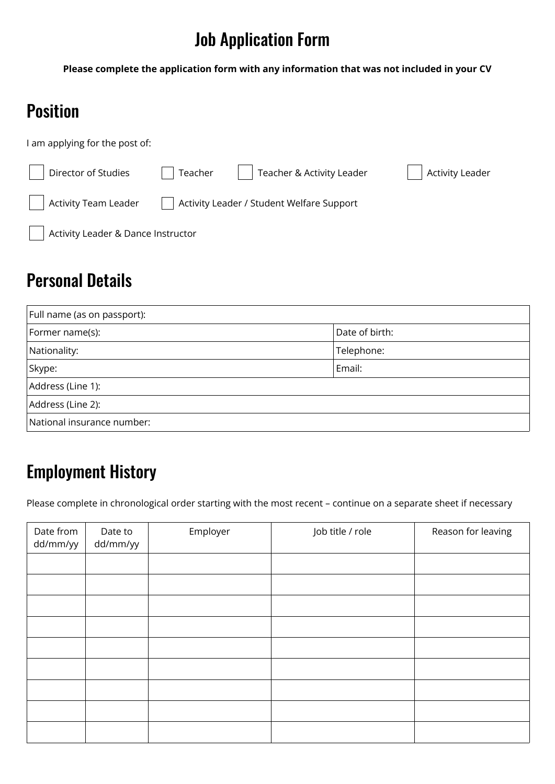# Job Application Form

**Please complete the application form with any information that was not included in your CV**

#### Position

I am applying for the post of:

| Director of Studies                | Teacher | Teacher & Activity Leader                 | Activity Leader |  |
|------------------------------------|---------|-------------------------------------------|-----------------|--|
| <b>Activity Team Leader</b>        |         | Activity Leader / Student Welfare Support |                 |  |
| Activity Leader & Dance Instructor |         |                                           |                 |  |

#### Personal Details

| Full name (as on passport): |                |  |  |
|-----------------------------|----------------|--|--|
| Former name(s):             | Date of birth: |  |  |
| Nationality:                | Telephone:     |  |  |
| Skype:                      | Email:         |  |  |
| Address (Line 1):           |                |  |  |
| Address (Line 2):           |                |  |  |
| National insurance number:  |                |  |  |

#### Employment History

Please complete in chronological order starting with the most recent – continue on a separate sheet if necessary

| Date from<br>dd/mm/yy | Date to<br>dd/mm/yy | Employer | Job title / role | Reason for leaving |
|-----------------------|---------------------|----------|------------------|--------------------|
|                       |                     |          |                  |                    |
|                       |                     |          |                  |                    |
|                       |                     |          |                  |                    |
|                       |                     |          |                  |                    |
|                       |                     |          |                  |                    |
|                       |                     |          |                  |                    |
|                       |                     |          |                  |                    |
|                       |                     |          |                  |                    |
|                       |                     |          |                  |                    |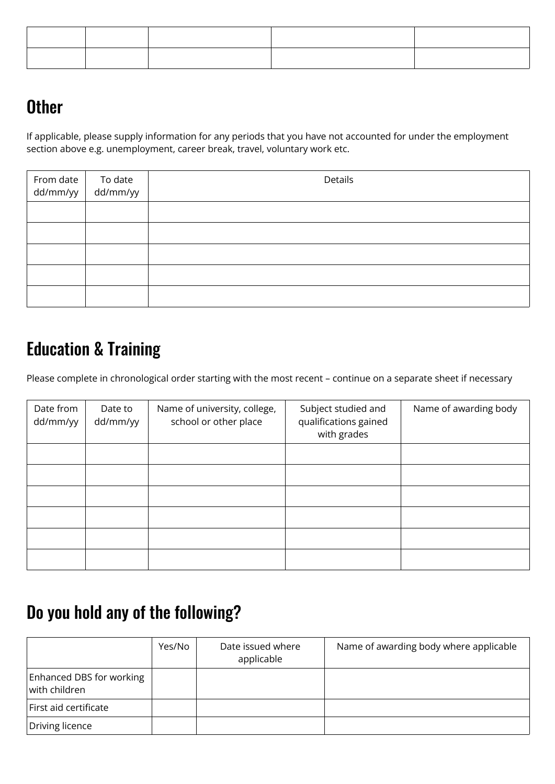## **Other**

If applicable, please supply information for any periods that you have not accounted for under the employment section above e.g. unemployment, career break, travel, voluntary work etc.

| From date To date<br>dd/mm/yy dd/mm/yy | Details |
|----------------------------------------|---------|
|                                        |         |
|                                        |         |
|                                        |         |
|                                        |         |
|                                        |         |

## Education & Training

Please complete in chronological order starting with the most recent – continue on a separate sheet if necessary

| Date from<br>dd/mm/yy | Date to<br>dd/mm/yy | Name of university, college,<br>school or other place | Subject studied and<br>qualifications gained<br>with grades | Name of awarding body |
|-----------------------|---------------------|-------------------------------------------------------|-------------------------------------------------------------|-----------------------|
|                       |                     |                                                       |                                                             |                       |
|                       |                     |                                                       |                                                             |                       |
|                       |                     |                                                       |                                                             |                       |
|                       |                     |                                                       |                                                             |                       |
|                       |                     |                                                       |                                                             |                       |
|                       |                     |                                                       |                                                             |                       |

#### Do you hold any of the following?

|                                                   | Yes/No | Date issued where<br>applicable | Name of awarding body where applicable |
|---------------------------------------------------|--------|---------------------------------|----------------------------------------|
| Enhanced DBS for working<br>$\vert$ with children |        |                                 |                                        |
| First aid certificate                             |        |                                 |                                        |
| Driving licence                                   |        |                                 |                                        |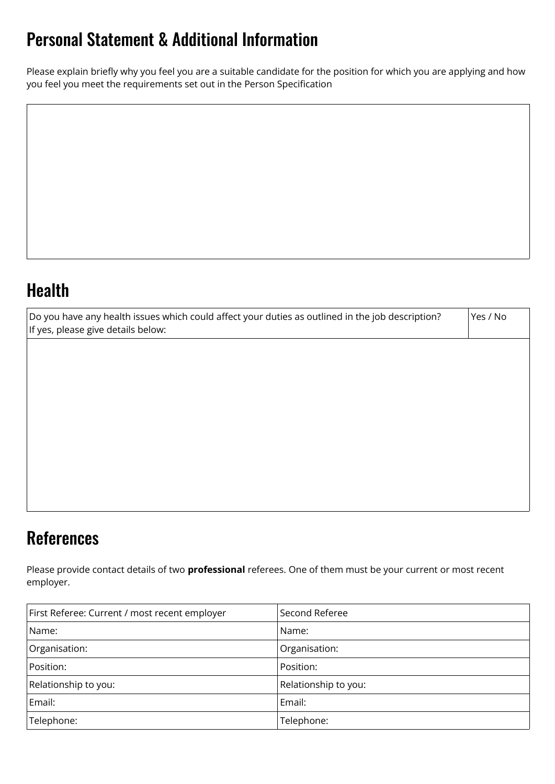## Personal Statement & Additional Information

Please explain briefly why you feel you are a suitable candidate for the position for which you are applying and how you feel you meet the requirements set out in the Person Specification

## Health

| Do you have any health issues which could affect your duties as outlined in the job description?<br>If yes, please give details below: | Yes / No |
|----------------------------------------------------------------------------------------------------------------------------------------|----------|
|                                                                                                                                        |          |
|                                                                                                                                        |          |
|                                                                                                                                        |          |
|                                                                                                                                        |          |
|                                                                                                                                        |          |
|                                                                                                                                        |          |

## **References**

Please provide contact details of two **professional** referees. One of them must be your current or most recent employer.

| First Referee: Current / most recent employer | Second Referee       |
|-----------------------------------------------|----------------------|
| Name:                                         | Name:                |
| Organisation:                                 | Organisation:        |
| Position:                                     | Position:            |
| Relationship to you:                          | Relationship to you: |
| Email:                                        | Email:               |
| Telephone:                                    | Telephone:           |